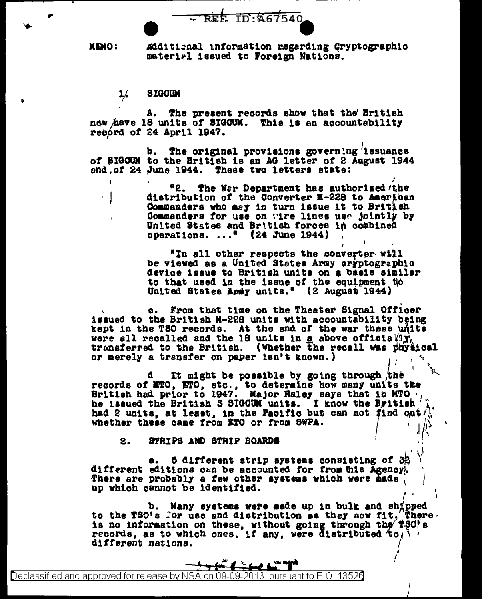REE ID:A67540

**MEMO:** Additional information regarding Gryptographic material issued to Foreign Nations.

**SIGCUM**  $\frac{1}{2}$ 

A. The present records show that the British now have 18 units of SIGCUM. This is an accountability record of 24 April 1947.

b. The original provisions governing issuance of SIGCUM to the British is an AG letter of 2 August 1944 and of 24 June 1944. These two letters state:

> "2. The War Department has authorized/the distribution of the Converter M-228 to American Commanders who may in turn issue it to British Commanders for use on wire lines use jointly by United States and British forces in combined operations.  $\ldots$ <sup>8</sup> (24 June 1944)

"In all other respects the converter will be viewed as a United States Army oryptographic device issue to British units on a basis similar to that used in the issue of the equipment to United States Apmly units." (2 August 1944)

c. From that time on the Theater Signal Officer issued to the British N-228 units with accountability being kept in the TSO records. At the end of the war these units were all recalled and the 18 units in a above official  $\hat{y}_k$ <br>transferred to the British. (Whether the recall was physical or merely a transfer on paper isn't known.)

d It might be possible by going through the records of MTO, ETO, etc., to determine how many units the British had prior to 1947. Major Raley says that in MTO .. he issued the British 3 STOCUM units. I know the British h had 2 units, at least, in the Pacific but can not find out/ whether these came from ETO or from SWPA.

STRIPS AND STRIP BOARDS 2.

5 different strip systems consisting of 32 a. different editions can be accounted for from this Agency. There are probably a few other systems which were made up which cannot be identified.

b. Hany systems were made up in bulk and shipped to the TSO's for use and distribution as they saw fit. There There. records, as to which ones, if any, were distributed  $f_{0}$ . different nations.